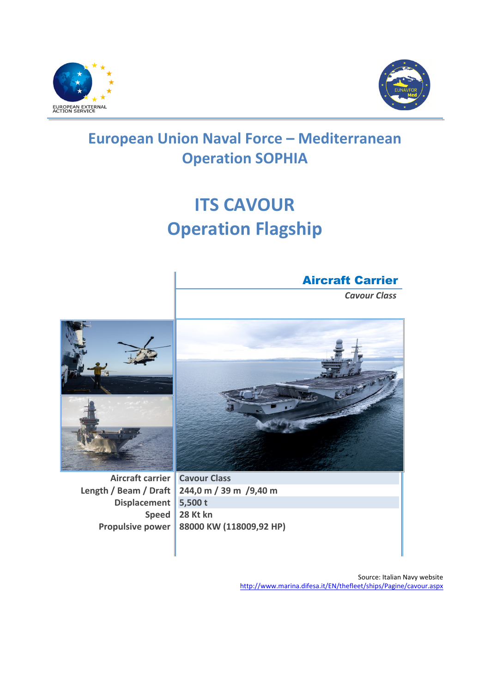



## **European Union Naval Force – Mediterranean Operation SOPHIA**

## **ITS CAVOUR Operation Flagship**

## Aircraft Carrier

*Cavour Class*



**Aircraft carrier Length / Beam / Draft Displacement Speed Propulsive power** 



**Cavour Class 244,0 m / 39 m /9,40 m 5,500 t 28 Kt kn 88000 KW (118009,92 HP)**